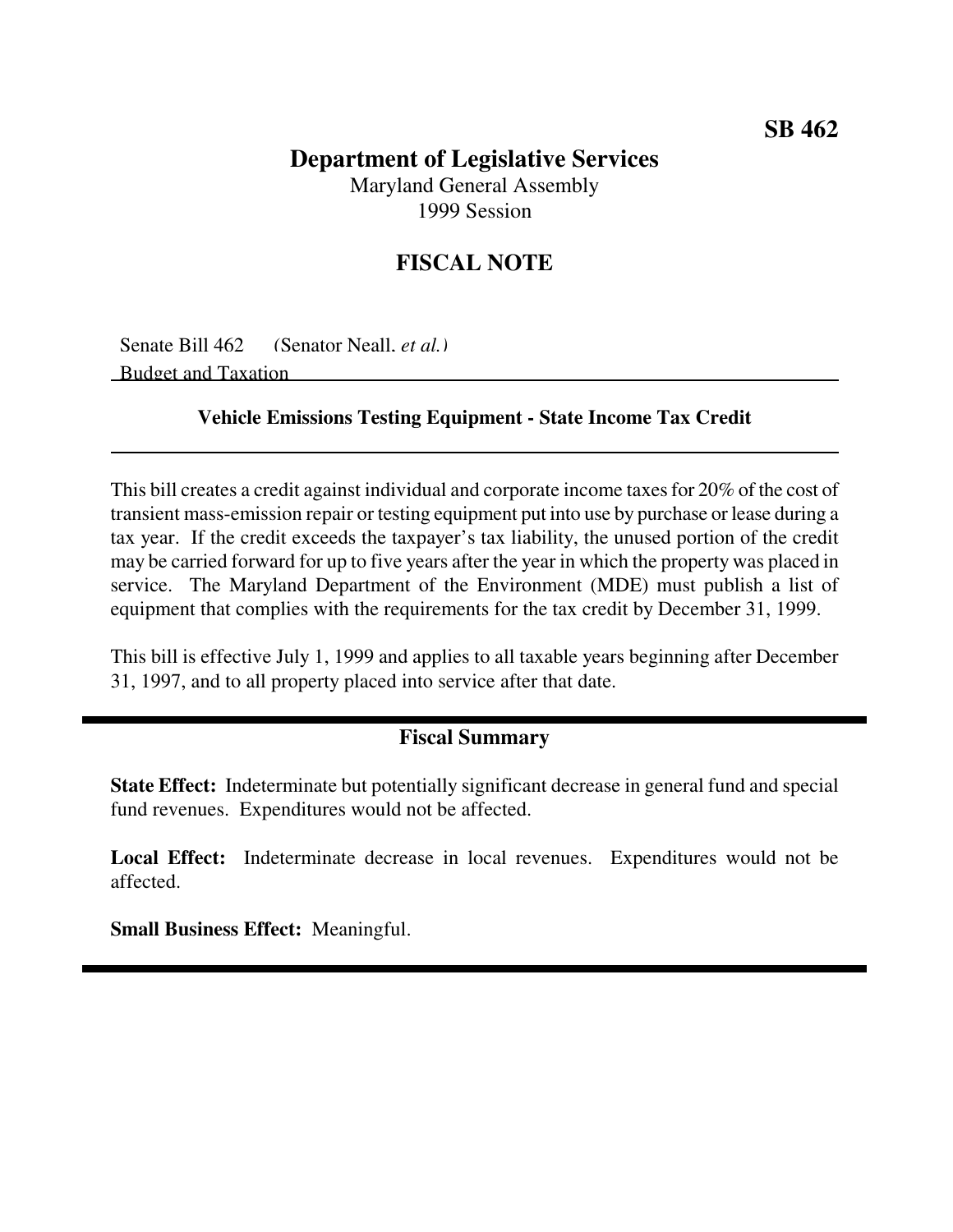# **Department of Legislative Services**

Maryland General Assembly 1999 Session

## **FISCAL NOTE**

Senate Bill 462 (Senator Neall, *et al.)* Budget and Taxation

#### **Vehicle Emissions Testing Equipment - State Income Tax Credit**

This bill creates a credit against individual and corporate income taxes for 20% of the cost of transient mass-emission repair or testing equipment put into use by purchase or lease during a tax year. If the credit exceeds the taxpayer's tax liability, the unused portion of the credit may be carried forward for up to five years after the year in which the property was placed in service. The Maryland Department of the Environment (MDE) must publish a list of equipment that complies with the requirements for the tax credit by December 31, 1999.

This bill is effective July 1, 1999 and applies to all taxable years beginning after December 31, 1997, and to all property placed into service after that date.

#### **Fiscal Summary**

**State Effect:** Indeterminate but potentially significant decrease in general fund and special fund revenues. Expenditures would not be affected.

**Local Effect:** Indeterminate decrease in local revenues. Expenditures would not be affected.

**Small Business Effect:** Meaningful.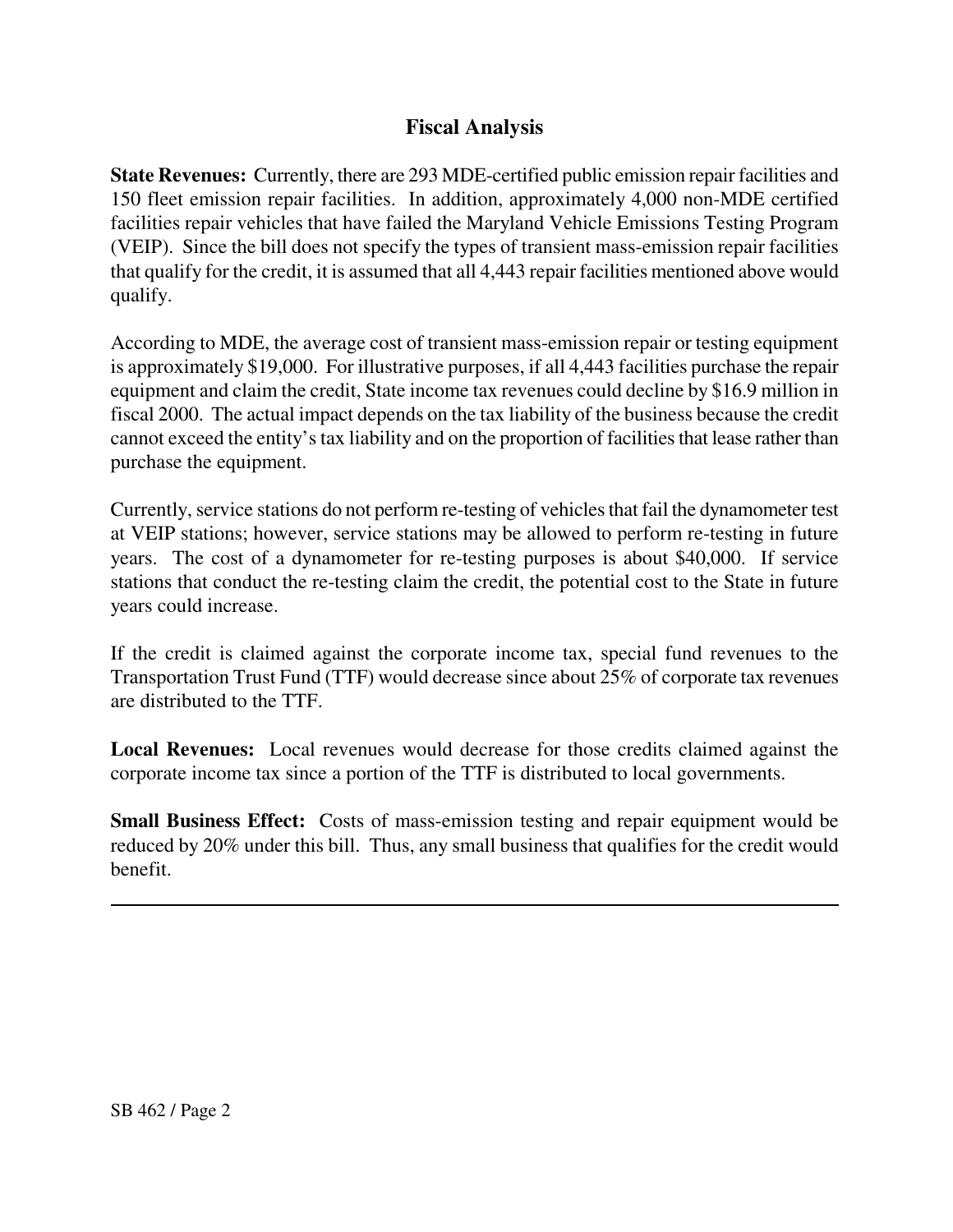### **Fiscal Analysis**

**State Revenues:** Currently, there are 293 MDE-certified public emission repair facilities and 150 fleet emission repair facilities. In addition, approximately 4,000 non-MDE certified facilities repair vehicles that have failed the Maryland Vehicle Emissions Testing Program (VEIP). Since the bill does not specify the types of transient mass-emission repair facilities that qualify for the credit, it is assumed that all 4,443 repair facilities mentioned above would qualify.

According to MDE, the average cost of transient mass-emission repair or testing equipment is approximately \$19,000. For illustrative purposes, if all 4,443 facilities purchase the repair equipment and claim the credit, State income tax revenues could decline by \$16.9 million in fiscal 2000. The actual impact depends on the tax liability of the business because the credit cannot exceed the entity's tax liability and on the proportion of facilities that lease rather than purchase the equipment.

Currently, service stations do not perform re-testing of vehicles that fail the dynamometer test at VEIP stations; however, service stations may be allowed to perform re-testing in future years. The cost of a dynamometer for re-testing purposes is about \$40,000. If service stations that conduct the re-testing claim the credit, the potential cost to the State in future years could increase.

If the credit is claimed against the corporate income tax, special fund revenues to the Transportation Trust Fund (TTF) would decrease since about 25% of corporate tax revenues are distributed to the TTF.

**Local Revenues:** Local revenues would decrease for those credits claimed against the corporate income tax since a portion of the TTF is distributed to local governments.

**Small Business Effect:** Costs of mass-emission testing and repair equipment would be reduced by 20% under this bill. Thus, any small business that qualifies for the credit would benefit.